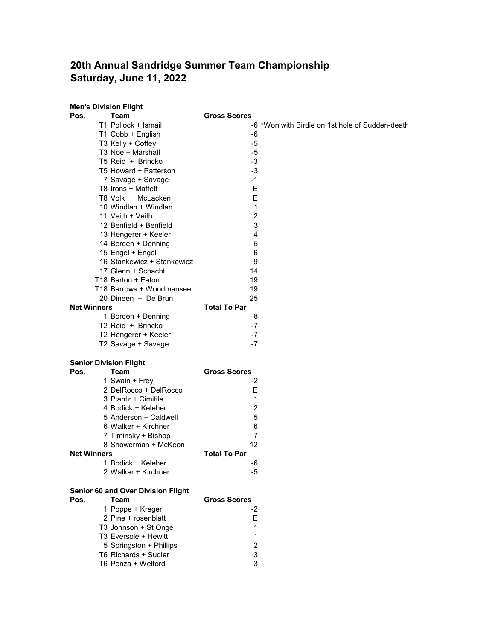## 20th Annual Sandridge Summer Team Championship Saturday, June 11, 2022

| <b>Men's Division Flight</b>       |                                                 |
|------------------------------------|-------------------------------------------------|
| Pos.<br>Team                       | <b>Gross Scores</b>                             |
| T1 Pollock + Ismail                | -6 *Won with Birdie on 1st hole of Sudden-death |
| T1 Cobb + English                  | -6                                              |
| T3 Kelly + Coffey                  | -5                                              |
| T3 Noe + Marshall                  | -5                                              |
| T5 Reid + Brincko                  | $-3$                                            |
| T5 Howard + Patterson              | $-3$                                            |
| 7 Savage + Savage                  | -1                                              |
| T8 Irons + Maffett                 | Е                                               |
| T8 Volk + McLacken                 | Е                                               |
| 10 Windlan + Windlan               | 1                                               |
| 11 Veith + Veith                   | $\overline{c}$                                  |
| 12 Benfield + Benfield             | 3                                               |
| 13 Hengerer + Keeler               | 4                                               |
| 14 Borden + Denning                | 5                                               |
| 15 Engel + Engel                   | 6                                               |
| 16 Stankewicz + Stankewicz         | 9                                               |
| 17 Glenn + Schacht                 | 14                                              |
| T18 Barton + Eaton                 | 19                                              |
| T18 Barrows + Woodmansee           | 19                                              |
| 20 Dineen + De Brun                | 25                                              |
| <b>Net Winners</b>                 | <b>Total To Par</b>                             |
| 1 Borden + Denning                 | -8                                              |
| T2 Reid + Brincko                  | -7                                              |
| T2 Hengerer + Keeler               | $-7$                                            |
| T2 Savage + Savage                 | -7                                              |
| <b>Senior Division Flight</b>      |                                                 |
| Team<br>Pos.                       | <b>Gross Scores</b>                             |
| 1 Swain + Frey                     | -2                                              |
| 2 DelRocco + DelRocco              | Ε                                               |
| 3 Plantz + Cimitile                | 1                                               |
| 4 Bodick + Keleher                 | $\overline{c}$                                  |
| 5 Anderson + Caldwell              | 5                                               |
| 6 Walker + Kirchner                | 6                                               |
| 7 Timinsky + Bishop                | 7                                               |
| 8 Showerman + McKeon               | 12                                              |
| <b>Net Winners</b>                 | <b>Total To Par</b>                             |
| 1 Bodick + Keleher                 | -6                                              |
| 2 Walker + Kirchner                | -5                                              |
| Senior 60 and Over Division Flight |                                                 |
| Pos.<br>Team                       | <b>Gross Scores</b>                             |
| 1 Poppe + Kreger                   | -2                                              |
| 2 Pine + rosenblatt                | Е                                               |
| T3 Johnson + St Onge               | 1                                               |
| T3 Eversole + Hewitt               | 1                                               |
| 5 Springston + Phillips            | $\overline{2}$                                  |
| T6 Richards + Sudler               | 3                                               |

T6 Penza + Welford 3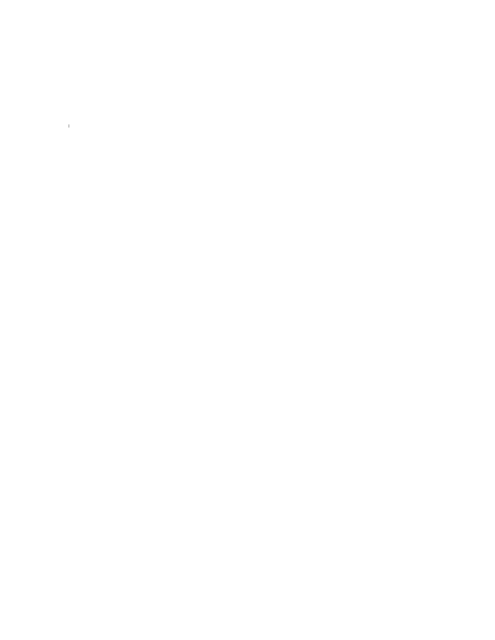$W$  with Birdie on 1st hole of  $\mathbb{R}$